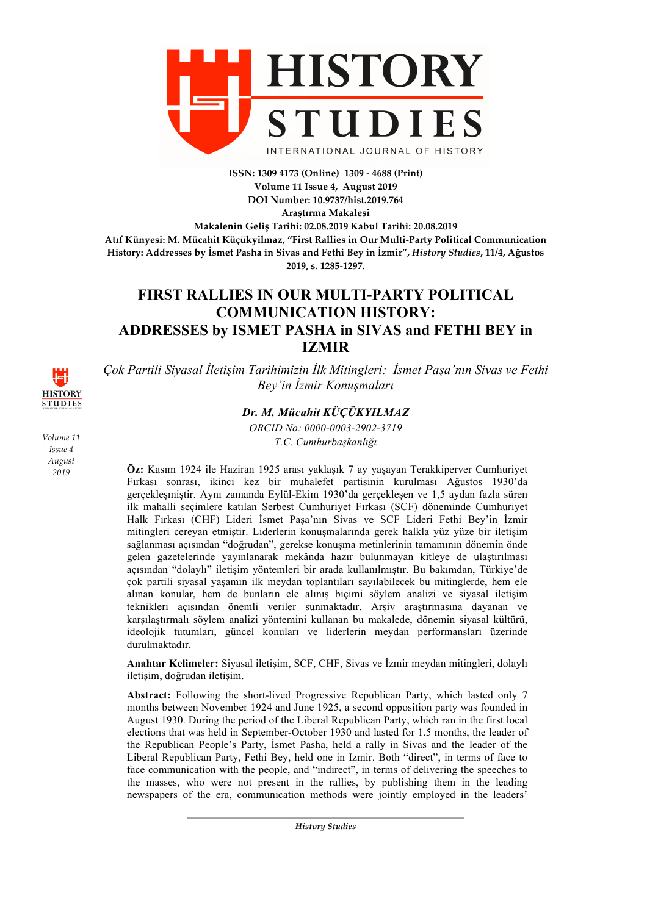

**ISSN: 1309 4173 (Online) 1309 - 4688 (Print) Volume 11 Issue 4, August 2019 DOI Number: 10.9737/hist.2019.764**

**Araştırma Makalesi**

**Makalenin Geliş Tarihi: 02.08.2019 Kabul Tarihi: 20.08.2019 Atıf Künyesi: M. Mücahit Küçükyilmaz, "First Rallies in Our Multi-Party Political Communication History: Addresses by İsmet Pasha in Sivas and Fethi Bey in İzmir",** *History Studies***, 11/4, Ağustos 2019, s. 1285-1297.**

# **FIRST RALLIES IN OUR MULTI-PARTY POLITICAL COMMUNICATION HISTORY: ADDRESSES by ISMET PASHA in SIVAS and FETHI BEY in IZMIR**

*Çok Partili Siyasal İletişim Tarihimizin İlk Mitingleri: İsmet Paşa'nın Sivas ve Fethi Bey'in İzmir Konuşmaları*

# *Dr. M. Mücahit KÜÇÜKYILMAZ*

*ORCID No: 0000-0003-2902-3719 T.C. Cumhurbaşkanlığı*

**Öz:** Kasım 1924 ile Haziran 1925 arası yaklaşık 7 ay yaşayan Terakkiperver Cumhuriyet Fırkası sonrası, ikinci kez bir muhalefet partisinin kurulması Ağustos 1930'da gerçekleşmiştir. Aynı zamanda Eylül-Ekim 1930'da gerçekleşen ve 1,5 aydan fazla süren ilk mahalli seçimlere katılan Serbest Cumhuriyet Fırkası (SCF) döneminde Cumhuriyet Halk Fırkası (CHF) Lideri İsmet Paşa'nın Sivas ve SCF Lideri Fethi Bey'in İzmir mitingleri cereyan etmiştir. Liderlerin konuşmalarında gerek halkla yüz yüze bir iletişim sağlanması açısından "doğrudan", gerekse konuşma metinlerinin tamamının dönemin önde gelen gazetelerinde yayınlanarak mekânda hazır bulunmayan kitleye de ulaştırılması açısından "dolaylı" iletişim yöntemleri bir arada kullanılmıştır. Bu bakımdan, Türkiye'de çok partili siyasal yaşamın ilk meydan toplantıları sayılabilecek bu mitinglerde, hem ele alınan konular, hem de bunların ele alınış biçimi söylem analizi ve siyasal iletişim teknikleri açısından önemli veriler sunmaktadır. Arşiv araştırmasına dayanan ve karşılaştırmalı söylem analizi yöntemini kullanan bu makalede, dönemin siyasal kültürü, ideolojik tutumları, güncel konuları ve liderlerin meydan performansları üzerinde durulmaktadır.

**Anahtar Kelimeler:** Siyasal iletişim, SCF, CHF, Sivas ve İzmir meydan mitingleri, dolaylı iletişim, doğrudan iletişim.

**Abstract:** Following the short-lived Progressive Republican Party, which lasted only 7 months between November 1924 and June 1925, a second opposition party was founded in August 1930. During the period of the Liberal Republican Party, which ran in the first local elections that was held in September-October 1930 and lasted for 1.5 months, the leader of the Republican People's Party, İsmet Pasha, held a rally in Sivas and the leader of the Liberal Republican Party, Fethi Bey, held one in Izmir. Both "direct", in terms of face to face communication with the people, and "indirect", in terms of delivering the speeches to the masses, who were not present in the rallies, by publishing them in the leading newspapers of the era, communication methods were jointly employed in the leaders'

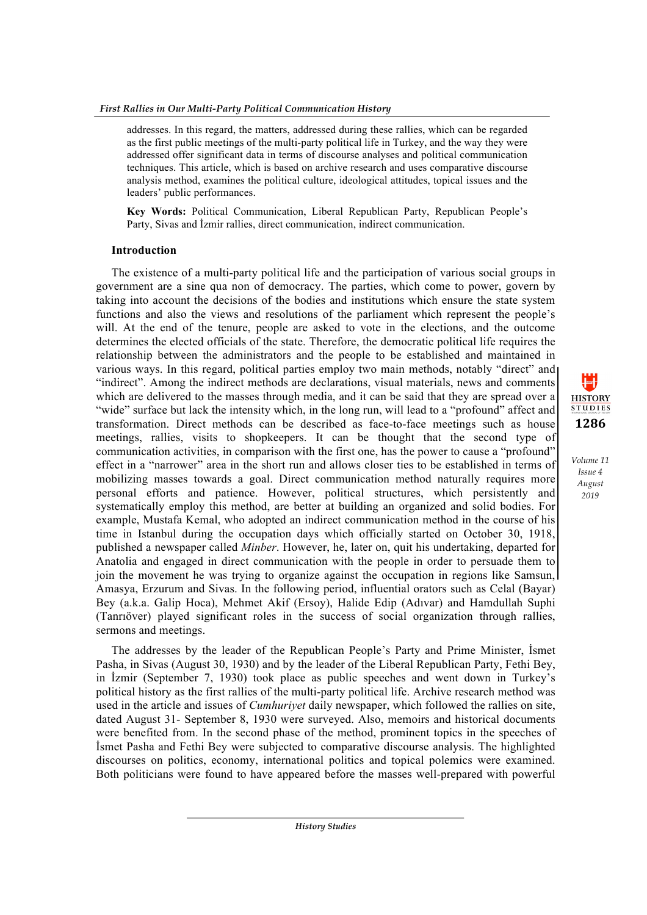addresses. In this regard, the matters, addressed during these rallies, which can be regarded as the first public meetings of the multi-party political life in Turkey, and the way they were addressed offer significant data in terms of discourse analyses and political communication techniques. This article, which is based on archive research and uses comparative discourse analysis method, examines the political culture, ideological attitudes, topical issues and the leaders' public performances.

**Key Words:** Political Communication, Liberal Republican Party, Republican People's Party, Sivas and İzmir rallies, direct communication, indirect communication.

# **Introduction**

The existence of a multi-party political life and the participation of various social groups in government are a sine qua non of democracy. The parties, which come to power, govern by taking into account the decisions of the bodies and institutions which ensure the state system functions and also the views and resolutions of the parliament which represent the people's will. At the end of the tenure, people are asked to vote in the elections, and the outcome determines the elected officials of the state. Therefore, the democratic political life requires the relationship between the administrators and the people to be established and maintained in various ways. In this regard, political parties employ two main methods, notably "direct" and "indirect". Among the indirect methods are declarations, visual materials, news and comments which are delivered to the masses through media, and it can be said that they are spread over a "wide" surface but lack the intensity which, in the long run, will lead to a "profound" affect and transformation. Direct methods can be described as face-to-face meetings such as house meetings, rallies, visits to shopkeepers. It can be thought that the second type of communication activities, in comparison with the first one, has the power to cause a "profound" effect in a "narrower" area in the short run and allows closer ties to be established in terms of mobilizing masses towards a goal. Direct communication method naturally requires more personal efforts and patience. However, political structures, which persistently and systematically employ this method, are better at building an organized and solid bodies. For example, Mustafa Kemal, who adopted an indirect communication method in the course of his time in Istanbul during the occupation days which officially started on October 30, 1918, published a newspaper called *Minber*. However, he, later on, quit his undertaking, departed for Anatolia and engaged in direct communication with the people in order to persuade them to join the movement he was trying to organize against the occupation in regions like Samsun, Amasya, Erzurum and Sivas. In the following period, influential orators such as Celal (Bayar) Bey (a.k.a. Galip Hoca), Mehmet Akif (Ersoy), Halide Edip (Adıvar) and Hamdullah Suphi (Tanrıöver) played significant roles in the success of social organization through rallies, sermons and meetings.

The addresses by the leader of the Republican People's Party and Prime Minister, İsmet Pasha, in Sivas (August 30, 1930) and by the leader of the Liberal Republican Party, Fethi Bey, in İzmir (September 7, 1930) took place as public speeches and went down in Turkey's political history as the first rallies of the multi-party political life. Archive research method was used in the article and issues of *Cumhuriyet* daily newspaper, which followed the rallies on site, dated August 31- September 8, 1930 were surveyed. Also, memoirs and historical documents were benefited from. In the second phase of the method, prominent topics in the speeches of İsmet Pasha and Fethi Bey were subjected to comparative discourse analysis. The highlighted discourses on politics, economy, international politics and topical polemics were examined. Both politicians were found to have appeared before the masses well-prepared with powerful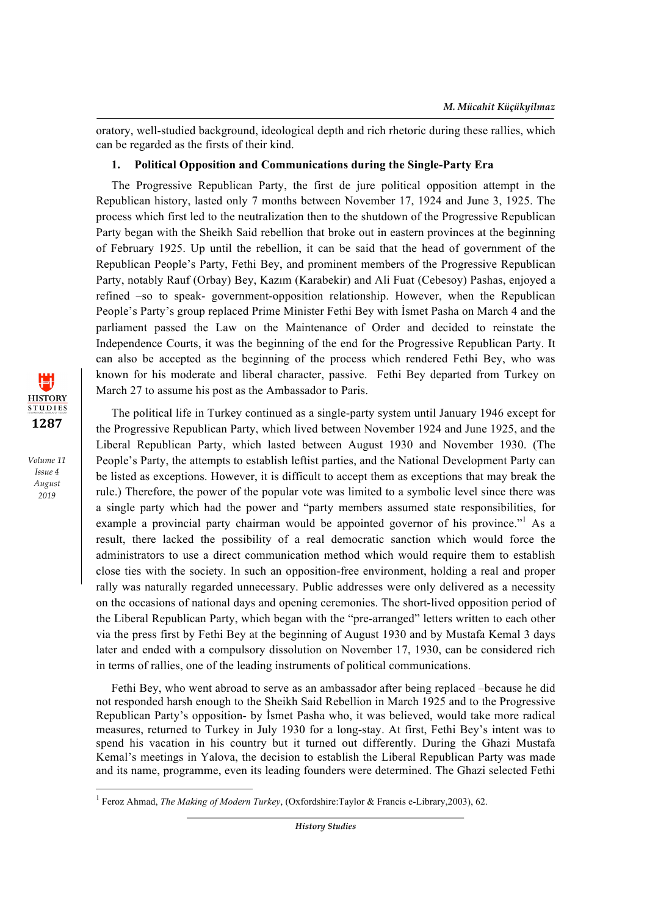oratory, well-studied background, ideological depth and rich rhetoric during these rallies, which can be regarded as the firsts of their kind.

## **1. Political Opposition and Communications during the Single-Party Era**

The Progressive Republican Party, the first de jure political opposition attempt in the Republican history, lasted only 7 months between November 17, 1924 and June 3, 1925. The process which first led to the neutralization then to the shutdown of the Progressive Republican Party began with the Sheikh Said rebellion that broke out in eastern provinces at the beginning of February 1925. Up until the rebellion, it can be said that the head of government of the Republican People's Party, Fethi Bey, and prominent members of the Progressive Republican Party, notably Rauf (Orbay) Bey, Kazım (Karabekir) and Ali Fuat (Cebesoy) Pashas, enjoyed a refined –so to speak- government-opposition relationship. However, when the Republican People's Party's group replaced Prime Minister Fethi Bey with İsmet Pasha on March 4 and the parliament passed the Law on the Maintenance of Order and decided to reinstate the Independence Courts, it was the beginning of the end for the Progressive Republican Party. It can also be accepted as the beginning of the process which rendered Fethi Bey, who was known for his moderate and liberal character, passive. Fethi Bey departed from Turkey on March 27 to assume his post as the Ambassador to Paris.

The political life in Turkey continued as a single-party system until January 1946 except for the Progressive Republican Party, which lived between November 1924 and June 1925, and the Liberal Republican Party, which lasted between August 1930 and November 1930. (The People's Party, the attempts to establish leftist parties, and the National Development Party can be listed as exceptions. However, it is difficult to accept them as exceptions that may break the rule.) Therefore, the power of the popular vote was limited to a symbolic level since there was a single party which had the power and "party members assumed state responsibilities, for example a provincial party chairman would be appointed governor of his province."<sup>1</sup> As a result, there lacked the possibility of a real democratic sanction which would force the administrators to use a direct communication method which would require them to establish close ties with the society. In such an opposition-free environment, holding a real and proper rally was naturally regarded unnecessary. Public addresses were only delivered as a necessity on the occasions of national days and opening ceremonies. The short-lived opposition period of the Liberal Republican Party, which began with the "pre-arranged" letters written to each other via the press first by Fethi Bey at the beginning of August 1930 and by Mustafa Kemal 3 days later and ended with a compulsory dissolution on November 17, 1930, can be considered rich in terms of rallies, one of the leading instruments of political communications.

Fethi Bey, who went abroad to serve as an ambassador after being replaced –because he did not responded harsh enough to the Sheikh Said Rebellion in March 1925 and to the Progressive Republican Party's opposition- by İsmet Pasha who, it was believed, would take more radical measures, returned to Turkey in July 1930 for a long-stay. At first, Fethi Bey's intent was to spend his vacation in his country but it turned out differently. During the Ghazi Mustafa Kemal's meetings in Yalova, the decision to establish the Liberal Republican Party was made and its name, programme, even its leading founders were determined. The Ghazi selected Fethi

<u> 1989 - Johann Barn, mars ann an t-Amhain an t-Amhain an t-Amhain an t-Amhain an t-Amhain an t-Amhain an t-Amh</u>



<sup>1</sup> Feroz Ahmad, *The Making of Modern Turkey*, (Oxfordshire:Taylor & Francis e-Library,2003), 62.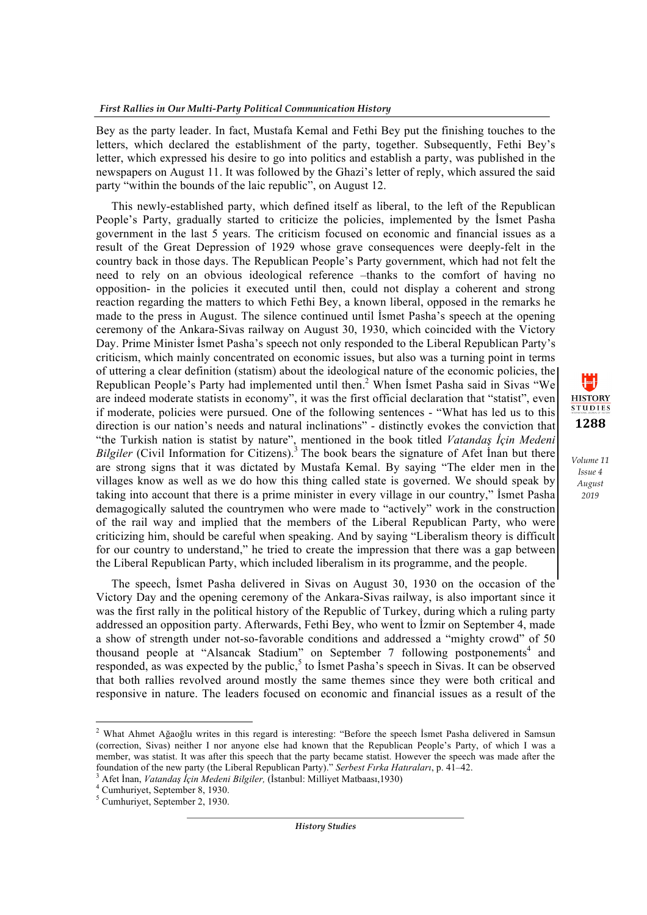Bey as the party leader. In fact, Mustafa Kemal and Fethi Bey put the finishing touches to the letters, which declared the establishment of the party, together. Subsequently, Fethi Bey's letter, which expressed his desire to go into politics and establish a party, was published in the newspapers on August 11. It was followed by the Ghazi's letter of reply, which assured the said party "within the bounds of the laic republic", on August 12.

This newly-established party, which defined itself as liberal, to the left of the Republican People's Party, gradually started to criticize the policies, implemented by the İsmet Pasha government in the last 5 years. The criticism focused on economic and financial issues as a result of the Great Depression of 1929 whose grave consequences were deeply-felt in the country back in those days. The Republican People's Party government, which had not felt the need to rely on an obvious ideological reference –thanks to the comfort of having no opposition- in the policies it executed until then, could not display a coherent and strong reaction regarding the matters to which Fethi Bey, a known liberal, opposed in the remarks he made to the press in August. The silence continued until İsmet Pasha's speech at the opening ceremony of the Ankara-Sivas railway on August 30, 1930, which coincided with the Victory Day. Prime Minister İsmet Pasha's speech not only responded to the Liberal Republican Party's criticism, which mainly concentrated on economic issues, but also was a turning point in terms of uttering a clear definition (statism) about the ideological nature of the economic policies, the Republican People's Party had implemented until then.<sup>2</sup> When Ismet Pasha said in Sivas "We are indeed moderate statists in economy", it was the first official declaration that "statist", even if moderate, policies were pursued. One of the following sentences - "What has led us to this direction is our nation's needs and natural inclinations" - distinctly evokes the conviction that "the Turkish nation is statist by nature", mentioned in the book titled *Vatandaş İçin Medeni Bilgiler* (Civil Information for Citizens).<sup>3</sup> The book bears the signature of Afet Inan but there are strong signs that it was dictated by Mustafa Kemal. By saying "The elder men in the villages know as well as we do how this thing called state is governed. We should speak by taking into account that there is a prime minister in every village in our country," İsmet Pasha demagogically saluted the countrymen who were made to "actively" work in the construction of the rail way and implied that the members of the Liberal Republican Party, who were criticizing him, should be careful when speaking. And by saying "Liberalism theory is difficult for our country to understand," he tried to create the impression that there was a gap between the Liberal Republican Party, which included liberalism in its programme, and the people.

**1288**

1≡H **HISTORY STUDIES** 

*Volume 11 Issue 4 August 2019*

The speech, İsmet Pasha delivered in Sivas on August 30, 1930 on the occasion of the Victory Day and the opening ceremony of the Ankara-Sivas railway, is also important since it was the first rally in the political history of the Republic of Turkey, during which a ruling party addressed an opposition party. Afterwards, Fethi Bey, who went to İzmir on September 4, made a show of strength under not-so-favorable conditions and addressed a "mighty crowd" of 50 thousand people at "Alsancak Stadium" on September 7 following postponements<sup>4</sup> and responded, as was expected by the public, $5$  to Ismet Pasha's speech in Sivas. It can be observed that both rallies revolved around mostly the same themes since they were both critical and responsive in nature. The leaders focused on economic and financial issues as a result of the

<u> 1989 - Johann Barn, mars eta bainar eta industrial eta baina eta baina eta baina eta baina eta baina eta bain</u>

<sup>2</sup> What Ahmet Ağaoğlu writes in this regard is interesting: "Before the speech İsmet Pasha delivered in Samsun (correction, Sivas) neither I nor anyone else had known that the Republican People's Party, of which I was a member, was statist. It was after this speech that the party became statist. However the speech was made after the foundation of the new party (the Liberal Republican Party)." Serbest Firka Hatiralari, p. 41–42.

 $^3$  Afet Inan, Vatandaş İçin Medeni Bilgiler, (İstanbul: Milliyet Matbaası, 1930) $^4$  Cumhurivet. September 8, 1930.

<sup>5</sup> Cumhuriyet, September 2, 1930.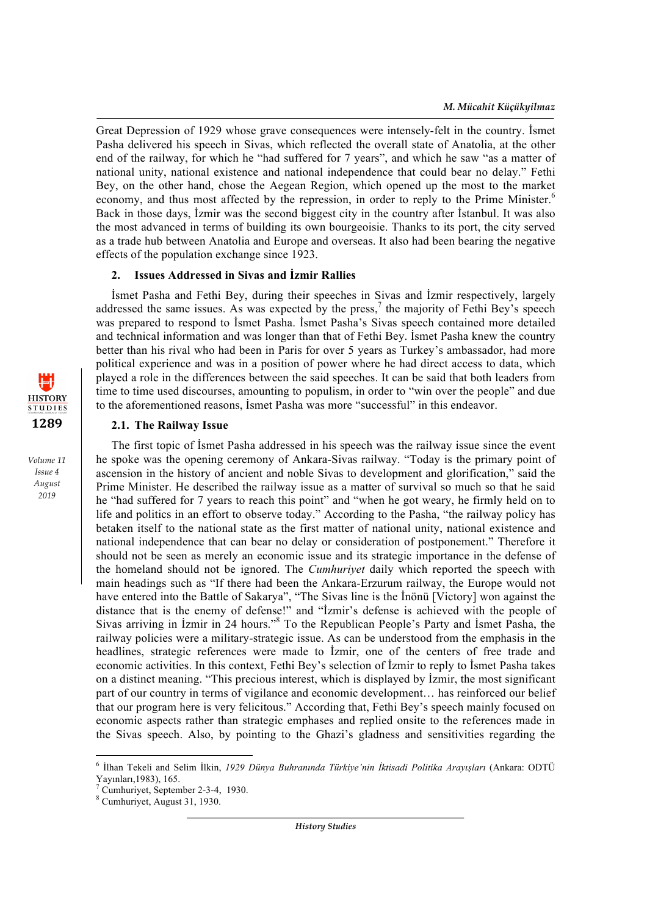Great Depression of 1929 whose grave consequences were intensely-felt in the country. İsmet Pasha delivered his speech in Sivas, which reflected the overall state of Anatolia, at the other end of the railway, for which he "had suffered for 7 years", and which he saw "as a matter of national unity, national existence and national independence that could bear no delay." Fethi Bey, on the other hand, chose the Aegean Region, which opened up the most to the market economy, and thus most affected by the repression, in order to reply to the Prime Minister.<sup>6</sup> Back in those days, İzmir was the second biggest city in the country after İstanbul. It was also the most advanced in terms of building its own bourgeoisie. Thanks to its port, the city served as a trade hub between Anatolia and Europe and overseas. It also had been bearing the negative effects of the population exchange since 1923.

## **2. Issues Addressed in Sivas and İzmir Rallies**

İsmet Pasha and Fethi Bey, during their speeches in Sivas and İzmir respectively, largely addressed the same issues. As was expected by the press,<sup>7</sup> the majority of Fethi Bey's speech was prepared to respond to İsmet Pasha. İsmet Pasha's Sivas speech contained more detailed and technical information and was longer than that of Fethi Bey. İsmet Pasha knew the country better than his rival who had been in Paris for over 5 years as Turkey's ambassador, had more political experience and was in a position of power where he had direct access to data, which played a role in the differences between the said speeches. It can be said that both leaders from time to time used discourses, amounting to populism, in order to "win over the people" and due to the aforementioned reasons, İsmet Pasha was more "successful" in this endeavor.

# **2.1. The Railway Issue**

The first topic of İsmet Pasha addressed in his speech was the railway issue since the event he spoke was the opening ceremony of Ankara-Sivas railway. "Today is the primary point of ascension in the history of ancient and noble Sivas to development and glorification," said the Prime Minister. He described the railway issue as a matter of survival so much so that he said he "had suffered for 7 years to reach this point" and "when he got weary, he firmly held on to life and politics in an effort to observe today." According to the Pasha, "the railway policy has betaken itself to the national state as the first matter of national unity, national existence and national independence that can bear no delay or consideration of postponement." Therefore it should not be seen as merely an economic issue and its strategic importance in the defense of the homeland should not be ignored. The *Cumhuriyet* daily which reported the speech with main headings such as "If there had been the Ankara-Erzurum railway, the Europe would not have entered into the Battle of Sakarya", "The Sivas line is the İnönü [Victory] won against the distance that is the enemy of defense!" and "İzmir's defense is achieved with the people of Sivas arriving in İzmir in 24 hours."<sup>8</sup> To the Republican People's Party and İsmet Pasha, the railway policies were a military-strategic issue. As can be understood from the emphasis in the headlines, strategic references were made to İzmir, one of the centers of free trade and economic activities. In this context, Fethi Bey's selection of İzmir to reply to İsmet Pasha takes on a distinct meaning. "This precious interest, which is displayed by İzmir, the most significant part of our country in terms of vigilance and economic development… has reinforced our belief that our program here is very felicitous." According that, Fethi Bey's speech mainly focused on economic aspects rather than strategic emphases and replied onsite to the references made in the Sivas speech. Also, by pointing to the Ghazi's gladness and sensitivities regarding the

<u> 1989 - Johann Barn, mars ann an t-Amhain an t-Amhain an t-Amhain an t-Amhain an t-Amhain an t-Amhain an t-Amh</u>

*History Studies*



<sup>6</sup> İlhan Tekeli and Selim İlkin, *1929 Dünya Buhranında Türkiye'nin İktisadi Politika Arayışları* (Ankara: ODTÜ

 $\sqrt[7]{}$ Cumhuriyet, September 2-3-4, 1930. 8 Cumhuriyet, August 31, 1930.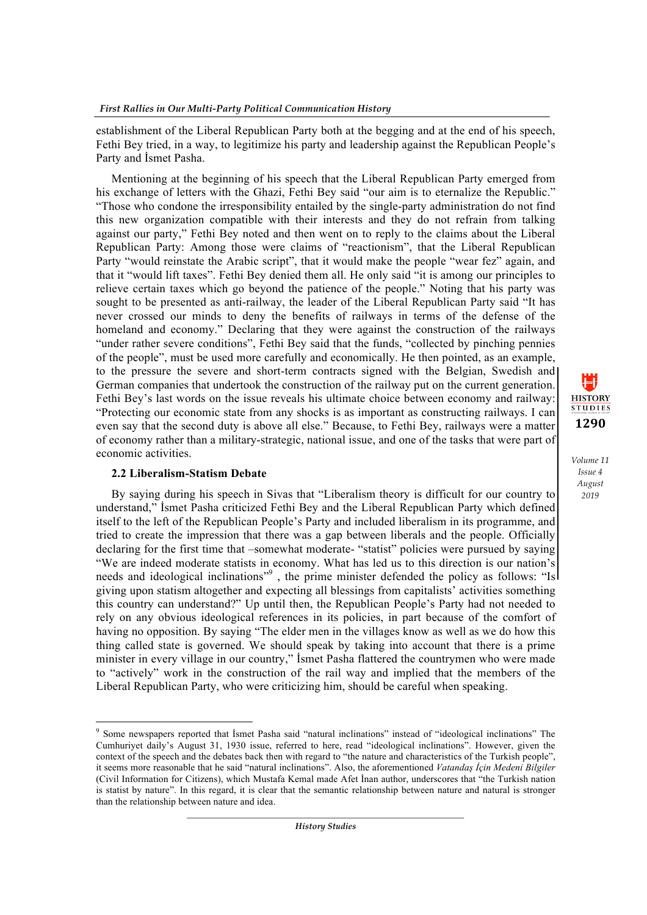establishment of the Liberal Republican Party both at the begging and at the end of his speech, Fethi Bey tried, in a way, to legitimize his party and leadership against the Republican People's Party and İsmet Pasha.

Mentioning at the beginning of his speech that the Liberal Republican Party emerged from his exchange of letters with the Ghazi, Fethi Bey said "our aim is to eternalize the Republic." "Those who condone the irresponsibility entailed by the single-party administration do not find this new organization compatible with their interests and they do not refrain from talking against our party," Fethi Bey noted and then went on to reply to the claims about the Liberal Republican Party: Among those were claims of "reactionism", that the Liberal Republican Party "would reinstate the Arabic script", that it would make the people "wear fez" again, and that it "would lift taxes". Fethi Bey denied them all. He only said "it is among our principles to relieve certain taxes which go beyond the patience of the people." Noting that his party was sought to be presented as anti-railway, the leader of the Liberal Republican Party said "It has never crossed our minds to deny the benefits of railways in terms of the defense of the homeland and economy." Declaring that they were against the construction of the railways "under rather severe conditions", Fethi Bey said that the funds, "collected by pinching pennies of the people", must be used more carefully and economically. He then pointed, as an example, to the pressure the severe and short-term contracts signed with the Belgian, Swedish and German companies that undertook the construction of the railway put on the current generation. Fethi Bey's last words on the issue reveals his ultimate choice between economy and railway: "Protecting our economic state from any shocks is as important as constructing railways. I can even say that the second duty is above all else." Because, to Fethi Bey, railways were a matter of economy rather than a military-strategic, national issue, and one of the tasks that were part of economic activities.

#### **2.2 Liberalism-Statism Debate**

<u> 1989 - Johann Barn, mars eta bainar eta industrial eta baina eta baina eta baina eta baina eta baina eta bain</u>

By saying during his speech in Sivas that "Liberalism theory is difficult for our country to understand," İsmet Pasha criticized Fethi Bey and the Liberal Republican Party which defined itself to the left of the Republican People's Party and included liberalism in its programme, and tried to create the impression that there was a gap between liberals and the people. Officially declaring for the first time that –somewhat moderate- "statist" policies were pursued by saying "We are indeed moderate statists in economy. What has led us to this direction is our nation's needs and ideological inclinations"<sup>9</sup>, the prime minister defended the policy as follows: "Isl giving upon statism altogether and expecting all blessings from capitalists' activities something this country can understand?" Up until then, the Republican People's Party had not needed to rely on any obvious ideological references in its policies, in part because of the comfort of having no opposition. By saying "The elder men in the villages know as well as we do how this thing called state is governed. We should speak by taking into account that there is a prime minister in every village in our country," İsmet Pasha flattered the countrymen who were made to "actively" work in the construction of the rail way and implied that the members of the Liberal Republican Party, who were criticizing him, should be careful when speaking.



<sup>9</sup> Some newspapers reported that İsmet Pasha said "natural inclinations" instead of "ideological inclinations" The Cumhuriyet daily's August 31, 1930 issue, referred to here, read "ideological inclinations". However, given the context of the speech and the debates back then with regard to "the nature and characteristics of the Turkish people", it seems more reasonable that he said "natural inclinations". Also, the aforementioned *Vatandaş İçin Medeni Bilgiler* (Civil Information for Citizens), which Mustafa Kemal made Afet İnan author, underscores that "the Turkish nation is statist by nature". In this regard, it is clear that the semantic relationship between nature and natural is stronger than the relationship between nature and idea.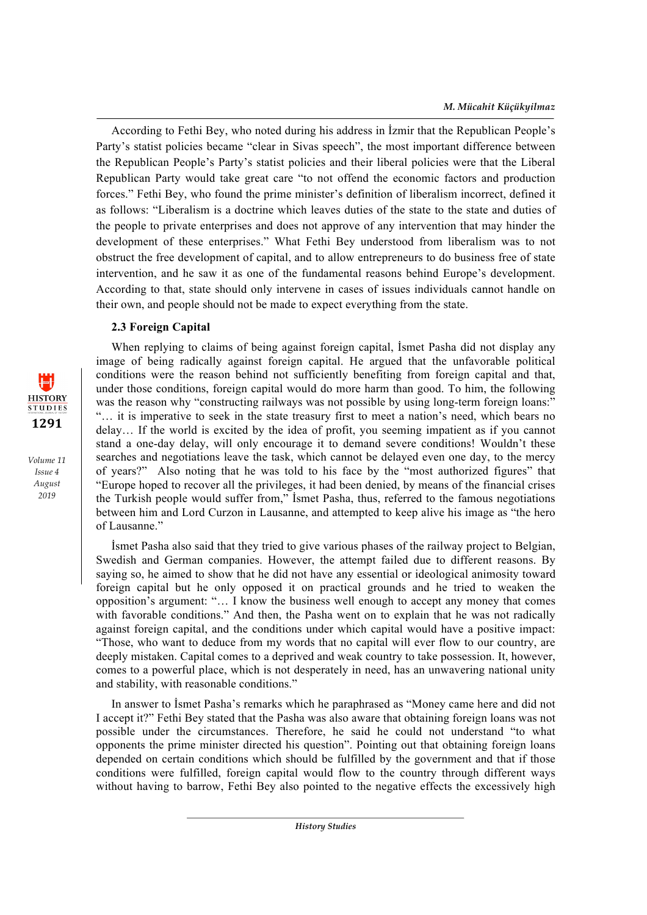According to Fethi Bey, who noted during his address in İzmir that the Republican People's Party's statist policies became "clear in Sivas speech", the most important difference between the Republican People's Party's statist policies and their liberal policies were that the Liberal Republican Party would take great care "to not offend the economic factors and production forces." Fethi Bey, who found the prime minister's definition of liberalism incorrect, defined it as follows: "Liberalism is a doctrine which leaves duties of the state to the state and duties of the people to private enterprises and does not approve of any intervention that may hinder the development of these enterprises." What Fethi Bey understood from liberalism was to not obstruct the free development of capital, and to allow entrepreneurs to do business free of state intervention, and he saw it as one of the fundamental reasons behind Europe's development. According to that, state should only intervene in cases of issues individuals cannot handle on their own, and people should not be made to expect everything from the state.

# **2.3 Foreign Capital**

When replying to claims of being against foreign capital, İsmet Pasha did not display any image of being radically against foreign capital. He argued that the unfavorable political conditions were the reason behind not sufficiently benefiting from foreign capital and that, under those conditions, foreign capital would do more harm than good. To him, the following was the reason why "constructing railways was not possible by using long-term foreign loans." "… it is imperative to seek in the state treasury first to meet a nation's need, which bears no delay… If the world is excited by the idea of profit, you seeming impatient as if you cannot stand a one-day delay, will only encourage it to demand severe conditions! Wouldn't these searches and negotiations leave the task, which cannot be delayed even one day, to the mercy of years?" Also noting that he was told to his face by the "most authorized figures" that "Europe hoped to recover all the privileges, it had been denied, by means of the financial crises the Turkish people would suffer from," İsmet Pasha, thus, referred to the famous negotiations between him and Lord Curzon in Lausanne, and attempted to keep alive his image as "the hero of Lausanne."

İsmet Pasha also said that they tried to give various phases of the railway project to Belgian, Swedish and German companies. However, the attempt failed due to different reasons. By saying so, he aimed to show that he did not have any essential or ideological animosity toward foreign capital but he only opposed it on practical grounds and he tried to weaken the opposition's argument: "… I know the business well enough to accept any money that comes with favorable conditions." And then, the Pasha went on to explain that he was not radically against foreign capital, and the conditions under which capital would have a positive impact: "Those, who want to deduce from my words that no capital will ever flow to our country, are deeply mistaken. Capital comes to a deprived and weak country to take possession. It, however, comes to a powerful place, which is not desperately in need, has an unwavering national unity and stability, with reasonable conditions."

In answer to İsmet Pasha's remarks which he paraphrased as "Money came here and did not I accept it?" Fethi Bey stated that the Pasha was also aware that obtaining foreign loans was not possible under the circumstances. Therefore, he said he could not understand "to what opponents the prime minister directed his question". Pointing out that obtaining foreign loans depended on certain conditions which should be fulfilled by the government and that if those conditions were fulfilled, foreign capital would flow to the country through different ways without having to barrow, Fethi Bey also pointed to the negative effects the excessively high

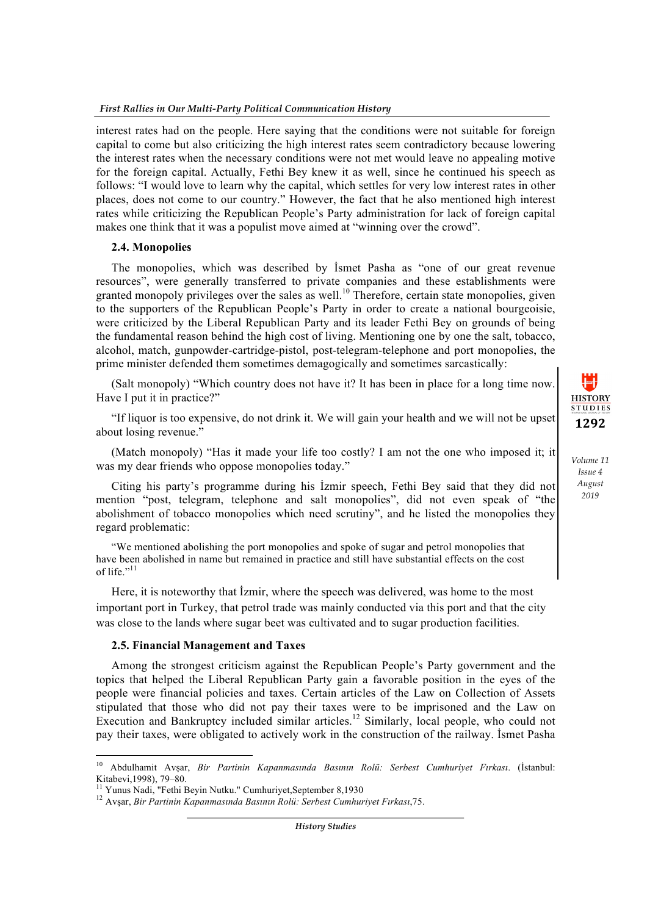interest rates had on the people. Here saying that the conditions were not suitable for foreign capital to come but also criticizing the high interest rates seem contradictory because lowering the interest rates when the necessary conditions were not met would leave no appealing motive for the foreign capital. Actually, Fethi Bey knew it as well, since he continued his speech as follows: "I would love to learn why the capital, which settles for very low interest rates in other places, does not come to our country." However, the fact that he also mentioned high interest rates while criticizing the Republican People's Party administration for lack of foreign capital makes one think that it was a populist move aimed at "winning over the crowd".

#### **2.4. Monopolies**

The monopolies, which was described by İsmet Pasha as "one of our great revenue resources", were generally transferred to private companies and these establishments were granted monopoly privileges over the sales as well.<sup>10</sup> Therefore, certain state monopolies, given to the supporters of the Republican People's Party in order to create a national bourgeoisie, were criticized by the Liberal Republican Party and its leader Fethi Bey on grounds of being the fundamental reason behind the high cost of living. Mentioning one by one the salt, tobacco, alcohol, match, gunpowder-cartridge-pistol, post-telegram-telephone and port monopolies, the prime minister defended them sometimes demagogically and sometimes sarcastically:

(Salt monopoly) "Which country does not have it? It has been in place for a long time now. Have I put it in practice?"

"If liquor is too expensive, do not drink it. We will gain your health and we will not be upset about losing revenue."

(Match monopoly) "Has it made your life too costly? I am not the one who imposed it; it was my dear friends who oppose monopolies today."

Citing his party's programme during his İzmir speech, Fethi Bey said that they did not mention "post, telegram, telephone and salt monopolies", did not even speak of "the abolishment of tobacco monopolies which need scrutiny", and he listed the monopolies they regard problematic:

"We mentioned abolishing the port monopolies and spoke of sugar and petrol monopolies that have been abolished in name but remained in practice and still have substantial effects on the cost of life." $11$ 

Here, it is noteworthy that İzmir, where the speech was delivered, was home to the most important port in Turkey, that petrol trade was mainly conducted via this port and that the city was close to the lands where sugar beet was cultivated and to sugar production facilities.

#### **2.5. Financial Management and Taxes**

<u> 1989 - Johann Barn, mars ann an t-Amhain an t-Amhain an t-Amhain an t-Amhain an t-Amhain an t-Amhain an t-Amh</u>

Among the strongest criticism against the Republican People's Party government and the topics that helped the Liberal Republican Party gain a favorable position in the eyes of the people were financial policies and taxes. Certain articles of the Law on Collection of Assets stipulated that those who did not pay their taxes were to be imprisoned and the Law on Execution and Bankruptcy included similar articles.<sup>12</sup> Similarly, local people, who could not pay their taxes, were obligated to actively work in the construction of the railway. İsmet Pasha

*History Studies*



<sup>10</sup> Abdulhamit Avşar, *Bir Partinin Kapanmasında Basının Rolü: Serbest Cumhuriyet Fırkası*. (İstanbul: Kitabevi, 1998), 79–80.<br><sup>11</sup> Yunus Nadi, "Fethi Beyin Nutku." Cumhuriyet, September 8, 1930 <sup>12</sup> Avşar, *Bir Partinin Kapanmasında Basının Rolü: Serbest Cumhuriyet Fırkası*, 75.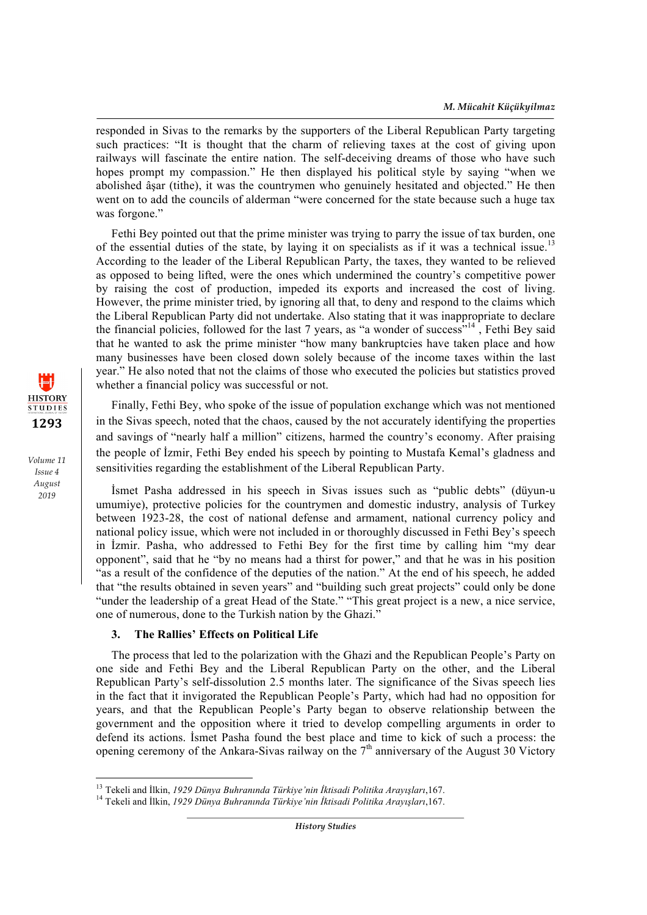responded in Sivas to the remarks by the supporters of the Liberal Republican Party targeting such practices: "It is thought that the charm of relieving taxes at the cost of giving upon railways will fascinate the entire nation. The self-deceiving dreams of those who have such hopes prompt my compassion." He then displayed his political style by saying "when we abolished âşar (tithe), it was the countrymen who genuinely hesitated and objected." He then went on to add the councils of alderman "were concerned for the state because such a huge tax was forgone."

Fethi Bey pointed out that the prime minister was trying to parry the issue of tax burden, one of the essential duties of the state, by laying it on specialists as if it was a technical issue.<sup>13</sup> According to the leader of the Liberal Republican Party, the taxes, they wanted to be relieved as opposed to being lifted, were the ones which undermined the country's competitive power by raising the cost of production, impeded its exports and increased the cost of living. However, the prime minister tried, by ignoring all that, to deny and respond to the claims which the Liberal Republican Party did not undertake. Also stating that it was inappropriate to declare the financial policies, followed for the last 7 years, as "a wonder of success"<sup>14</sup> , Fethi Bey said that he wanted to ask the prime minister "how many bankruptcies have taken place and how many businesses have been closed down solely because of the income taxes within the last year." He also noted that not the claims of those who executed the policies but statistics proved whether a financial policy was successful or not.

Finally, Fethi Bey, who spoke of the issue of population exchange which was not mentioned in the Sivas speech, noted that the chaos, caused by the not accurately identifying the properties and savings of "nearly half a million" citizens, harmed the country's economy. After praising the people of İzmir, Fethi Bey ended his speech by pointing to Mustafa Kemal's gladness and sensitivities regarding the establishment of the Liberal Republican Party.

İsmet Pasha addressed in his speech in Sivas issues such as "public debts" (düyun-u umumiye), protective policies for the countrymen and domestic industry, analysis of Turkey between 1923-28, the cost of national defense and armament, national currency policy and national policy issue, which were not included in or thoroughly discussed in Fethi Bey's speech in İzmir. Pasha, who addressed to Fethi Bey for the first time by calling him "my dear opponent", said that he "by no means had a thirst for power," and that he was in his position "as a result of the confidence of the deputies of the nation." At the end of his speech, he added that "the results obtained in seven years" and "building such great projects" could only be done "under the leadership of a great Head of the State." "This great project is a new, a nice service, one of numerous, done to the Turkish nation by the Ghazi."

## **3. The Rallies' Effects on Political Life**

<u> 1989 - Johann Barn, mars ann an t-Amhain an t-Amhain an t-Amhain an t-Amhain an t-Amhain an t-Amhain an t-Amh</u>

The process that led to the polarization with the Ghazi and the Republican People's Party on one side and Fethi Bey and the Liberal Republican Party on the other, and the Liberal Republican Party's self-dissolution 2.5 months later. The significance of the Sivas speech lies in the fact that it invigorated the Republican People's Party, which had had no opposition for years, and that the Republican People's Party began to observe relationship between the government and the opposition where it tried to develop compelling arguments in order to defend its actions. İsmet Pasha found the best place and time to kick of such a process: the opening ceremony of the Ankara-Sivas railway on the 7th anniversary of the August 30 Victory

*History Studies*



<sup>&</sup>lt;sup>13</sup> Tekeli and İlkin, *1929 Dünya Buhranında Türkiye'nin İktisadi Politika Arayışları*,167.<br><sup>14</sup> Tekeli and İlkin, *1929 Dünya Buhranında Türkiye'nin İktisadi Politika Arayışları*,167.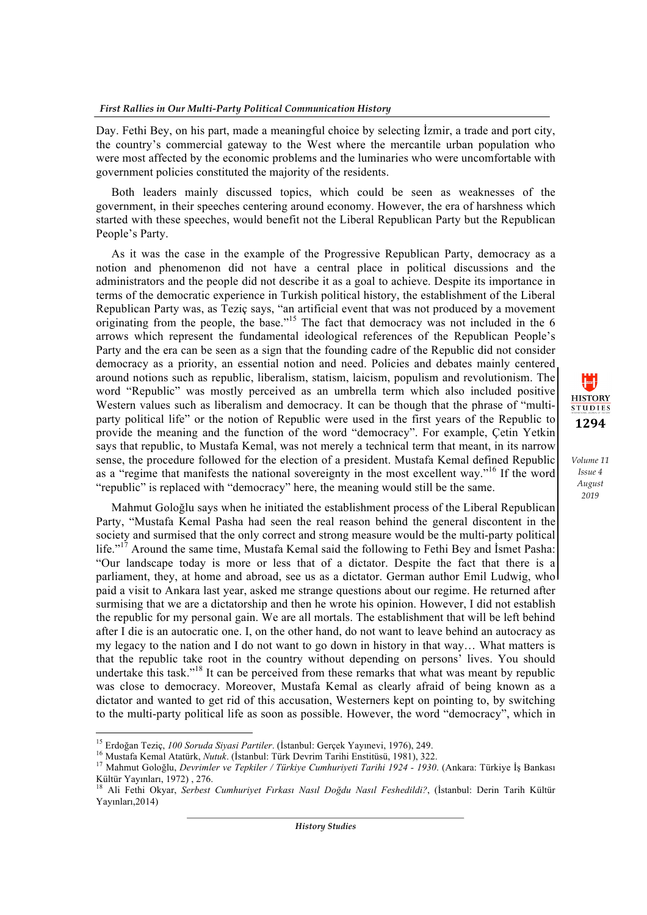Day. Fethi Bey, on his part, made a meaningful choice by selecting İzmir, a trade and port city, the country's commercial gateway to the West where the mercantile urban population who were most affected by the economic problems and the luminaries who were uncomfortable with government policies constituted the majority of the residents.

Both leaders mainly discussed topics, which could be seen as weaknesses of the government, in their speeches centering around economy. However, the era of harshness which started with these speeches, would benefit not the Liberal Republican Party but the Republican People's Party.

As it was the case in the example of the Progressive Republican Party, democracy as a notion and phenomenon did not have a central place in political discussions and the administrators and the people did not describe it as a goal to achieve. Despite its importance in terms of the democratic experience in Turkish political history, the establishment of the Liberal Republican Party was, as Teziç says, "an artificial event that was not produced by a movement originating from the people, the base."<sup>15</sup> The fact that democracy was not included in the 6 arrows which represent the fundamental ideological references of the Republican People's Party and the era can be seen as a sign that the founding cadre of the Republic did not consider democracy as a priority, an essential notion and need. Policies and debates mainly centered around notions such as republic, liberalism, statism, laicism, populism and revolutionism. The word "Republic" was mostly perceived as an umbrella term which also included positive Western values such as liberalism and democracy. It can be though that the phrase of "multiparty political life" or the notion of Republic were used in the first years of the Republic to provide the meaning and the function of the word "democracy". For example, Çetin Yetkin says that republic, to Mustafa Kemal, was not merely a technical term that meant, in its narrow sense, the procedure followed for the election of a president. Mustafa Kemal defined Republic as a "regime that manifests the national sovereignty in the most excellent way."<sup>16</sup> If the word "republic" is replaced with "democracy" here, the meaning would still be the same.

Mahmut Goloğlu says when he initiated the establishment process of the Liberal Republican Party, "Mustafa Kemal Pasha had seen the real reason behind the general discontent in the society and surmised that the only correct and strong measure would be the multi-party political life."<sup>17</sup> Around the same time, Mustafa Kemal said the following to Fethi Bey and Ismet Pasha: "Our landscape today is more or less that of a dictator. Despite the fact that there is a parliament, they, at home and abroad, see us as a dictator. German author Emil Ludwig, who paid a visit to Ankara last year, asked me strange questions about our regime. He returned after surmising that we are a dictatorship and then he wrote his opinion. However, I did not establish the republic for my personal gain. We are all mortals. The establishment that will be left behind after I die is an autocratic one. I, on the other hand, do not want to leave behind an autocracy as my legacy to the nation and I do not want to go down in history in that way… What matters is that the republic take root in the country without depending on persons' lives. You should undertake this task."<sup>18</sup> It can be perceived from these remarks that what was meant by republic was close to democracy. Moreover, Mustafa Kemal as clearly afraid of being known as a dictator and wanted to get rid of this accusation, Westerners kept on pointing to, by switching to the multi-party political life as soon as possible. However, the word "democracy", which in



<sup>&</sup>lt;sup>15</sup> Erdoğan Teziç, 100 Soruda Siyasi Partiler. (İstanbul: Gerçek Yayınevi, 1976), 249.

<sup>16</sup> Mustafa Kemal Atatürk, *Nutuk.* (İstanbul: Türk Devrim Tarihi Enstitüsü, 1981), 322.<br><sup>17</sup> Mahmut Goloğlu, *Devrimler ve Tepkiler / Türkiye Cumhuriyeti Tarihi 1924 - 1930.* (Ankara: Türkiye İş Bankası Kültür Yayınları, 1972) , 276.

<sup>18</sup> Ali Fethi Okyar, *Serbest Cumhuriyet Fırkası Nasıl Doğdu Nasıl Feshedildi?*, (İstanbul: Derin Tarih Kültür Yayınları,2014)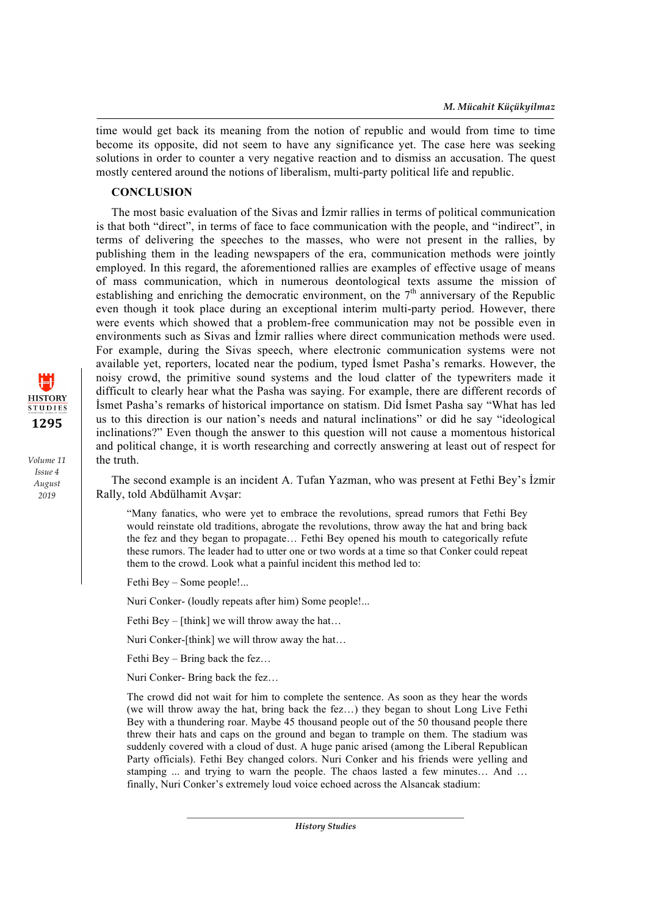time would get back its meaning from the notion of republic and would from time to time become its opposite, did not seem to have any significance yet. The case here was seeking solutions in order to counter a very negative reaction and to dismiss an accusation. The quest mostly centered around the notions of liberalism, multi-party political life and republic.

# **CONCLUSION**

The most basic evaluation of the Sivas and İzmir rallies in terms of political communication is that both "direct", in terms of face to face communication with the people, and "indirect", in terms of delivering the speeches to the masses, who were not present in the rallies, by publishing them in the leading newspapers of the era, communication methods were jointly employed. In this regard, the aforementioned rallies are examples of effective usage of means of mass communication, which in numerous deontological texts assume the mission of establishing and enriching the democratic environment, on the  $7<sup>th</sup>$  anniversary of the Republic even though it took place during an exceptional interim multi-party period. However, there were events which showed that a problem-free communication may not be possible even in environments such as Sivas and İzmir rallies where direct communication methods were used. For example, during the Sivas speech, where electronic communication systems were not available yet, reporters, located near the podium, typed İsmet Pasha's remarks. However, the noisy crowd, the primitive sound systems and the loud clatter of the typewriters made it difficult to clearly hear what the Pasha was saying. For example, there are different records of İsmet Pasha's remarks of historical importance on statism. Did İsmet Pasha say "What has led us to this direction is our nation's needs and natural inclinations" or did he say "ideological inclinations?" Even though the answer to this question will not cause a momentous historical and political change, it is worth researching and correctly answering at least out of respect for the truth.

The second example is an incident A. Tufan Yazman, who was present at Fethi Bey's İzmir Rally, told Abdülhamit Avşar:

"Many fanatics, who were yet to embrace the revolutions, spread rumors that Fethi Bey would reinstate old traditions, abrogate the revolutions, throw away the hat and bring back the fez and they began to propagate… Fethi Bey opened his mouth to categorically refute these rumors. The leader had to utter one or two words at a time so that Conker could repeat them to the crowd. Look what a painful incident this method led to:

Fethi Bey – Some people!...

Nuri Conker- (loudly repeats after him) Some people!...

Fethi Bey – [think] we will throw away the hat...

Nuri Conker-[think] we will throw away the hat…

Fethi Bey – Bring back the fez…

Nuri Conker- Bring back the fez…

The crowd did not wait for him to complete the sentence. As soon as they hear the words (we will throw away the hat, bring back the fez…) they began to shout Long Live Fethi Bey with a thundering roar. Maybe 45 thousand people out of the 50 thousand people there threw their hats and caps on the ground and began to trample on them. The stadium was suddenly covered with a cloud of dust. A huge panic arised (among the Liberal Republican Party officials). Fethi Bey changed colors. Nuri Conker and his friends were yelling and stamping ... and trying to warn the people. The chaos lasted a few minutes… And … finally, Nuri Conker's extremely loud voice echoed across the Alsancak stadium:

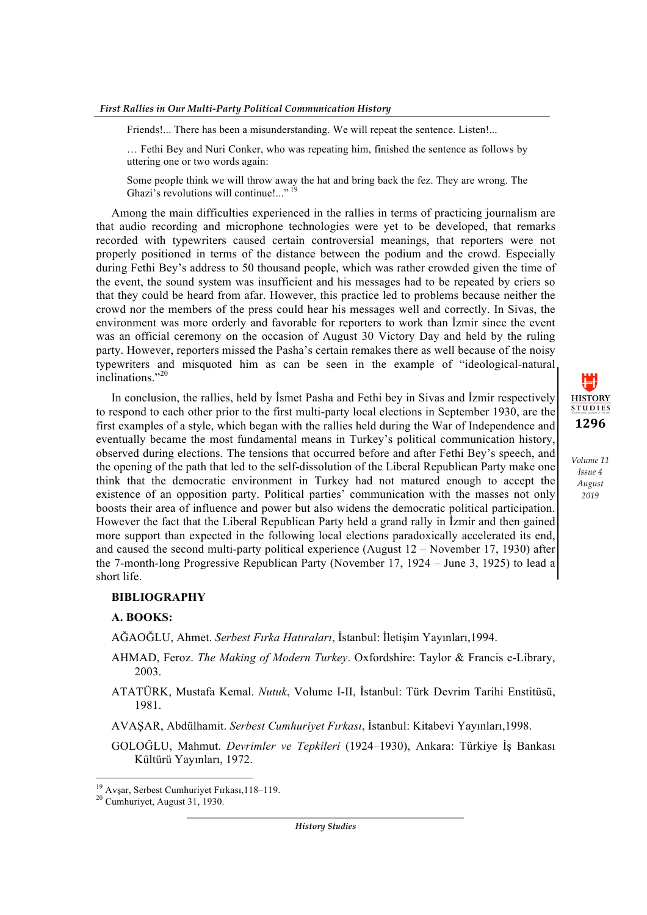Friends!... There has been a misunderstanding. We will repeat the sentence. Listen!...

… Fethi Bey and Nuri Conker, who was repeating him, finished the sentence as follows by uttering one or two words again:

Some people think we will throw away the hat and bring back the fez. They are wrong. The Ghazi's revolutions will continue!..."<sup>1</sup>

Among the main difficulties experienced in the rallies in terms of practicing journalism are that audio recording and microphone technologies were yet to be developed, that remarks recorded with typewriters caused certain controversial meanings, that reporters were not properly positioned in terms of the distance between the podium and the crowd. Especially during Fethi Bey's address to 50 thousand people, which was rather crowded given the time of the event, the sound system was insufficient and his messages had to be repeated by criers so that they could be heard from afar. However, this practice led to problems because neither the crowd nor the members of the press could hear his messages well and correctly. In Sivas, the environment was more orderly and favorable for reporters to work than İzmir since the event was an official ceremony on the occasion of August 30 Victory Day and held by the ruling party. However, reporters missed the Pasha's certain remakes there as well because of the noisy typewriters and misquoted him as can be seen in the example of "ideological-natural inclinations."20

In conclusion, the rallies, held by İsmet Pasha and Fethi bey in Sivas and İzmir respectively to respond to each other prior to the first multi-party local elections in September 1930, are the first examples of a style, which began with the rallies held during the War of Independence and eventually became the most fundamental means in Turkey's political communication history, observed during elections. The tensions that occurred before and after Fethi Bey's speech, and the opening of the path that led to the self-dissolution of the Liberal Republican Party make one think that the democratic environment in Turkey had not matured enough to accept the existence of an opposition party. Political parties' communication with the masses not only boosts their area of influence and power but also widens the democratic political participation. However the fact that the Liberal Republican Party held a grand rally in İzmir and then gained more support than expected in the following local elections paradoxically accelerated its end, and caused the second multi-party political experience (August  $12 -$ November 17, 1930) after the 7-month-long Progressive Republican Party (November 17, 1924 – June 3, 1925) to lead a short life.

#### **BIBLIOGRAPHY**

## **A. BOOKS:**

AĞAOĞLU, Ahmet. *Serbest Fırka Hatıraları*, İstanbul: İletişim Yayınları,1994.

- AHMAD, Feroz. *The Making of Modern Turkey*. Oxfordshire: Taylor & Francis e-Library, 2003.
- ATATÜRK, Mustafa Kemal. *Nutuk*, Volume I-II, İstanbul: Türk Devrim Tarihi Enstitüsü, 1981.
- AVAŞAR, Abdülhamit. *Serbest Cumhuriyet Fırkası*, İstanbul: Kitabevi Yayınları,1998.
- GOLOĞLU, Mahmut. *Devrimler ve Tepkileri* (1924–1930), Ankara: Türkiye İş Bankası Kültürü Yayınları, 1972.

<u> 1989 - Johann Barn, mars ann an t-Amhain an t-Amhain an t-Amhain an t-Amhain an t-Amhain an t-Amhain an t-Amh</u>

 $\mathbf{H}$ **HISTORY STUDIES 1296**

*Volume 11 Issue 4 August 2019*

*History Studies*

<sup>&</sup>lt;sup>19</sup> Avşar, Serbest Cumhuriyet Fırkası, 118–119.<br><sup>20</sup> Cumhuriyet, August 31, 1930.